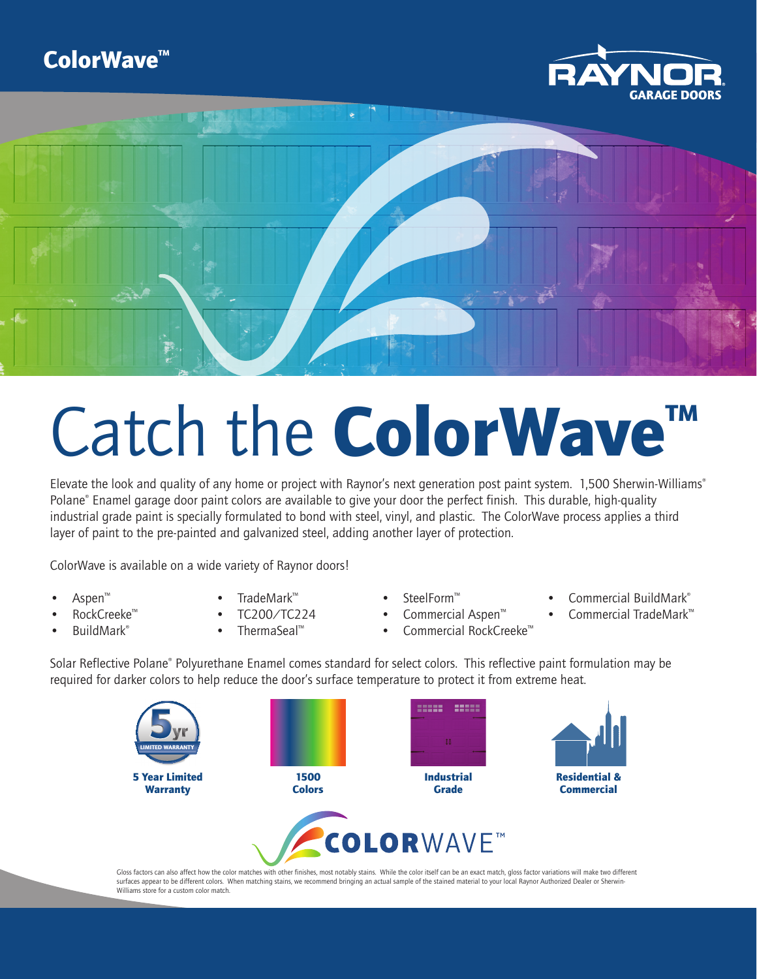



## Catch the ColorWave™

Elevate the look and quality of any home or project with Raynor's next generation post paint system. 1,500 Sherwin-Williams® Polane® Enamel garage door paint colors are available to give your door the perfect finish. This durable, high-quality industrial grade paint is specially formulated to bond with steel, vinyl, and plastic. The ColorWave process applies a third layer of paint to the pre-painted and galvanized steel, adding another layer of protection.

ColorWave is available on a wide variety of Raynor doors!

- Aspen<sup>™</sup>
- RockCreeke™
- BuildMark®
- TradeMark™
- TC200/TC224
- ThermaSeal™
- SteelForm™
- Commercial Aspen™ • Commercial RockCreeke™
- Commercial BuildMark®
- Commercial TradeMark™

Solar Reflective Polane® Polyurethane Enamel comes standard for select colors. This reflective paint formulation may be required for darker colors to help reduce the door's surface temperature to protect it from extreme heat.



Gloss factors can also affect how the color matches with other finishes, most notably stains. While the color itself can be an exact match, gloss factor variations will make two different surfaces appear to be different colors. When matching stains, we recommend bringing an actual sample of the stained material to your local Raynor Authorized Dealer or Sherwin-Williams store for a custom color match.